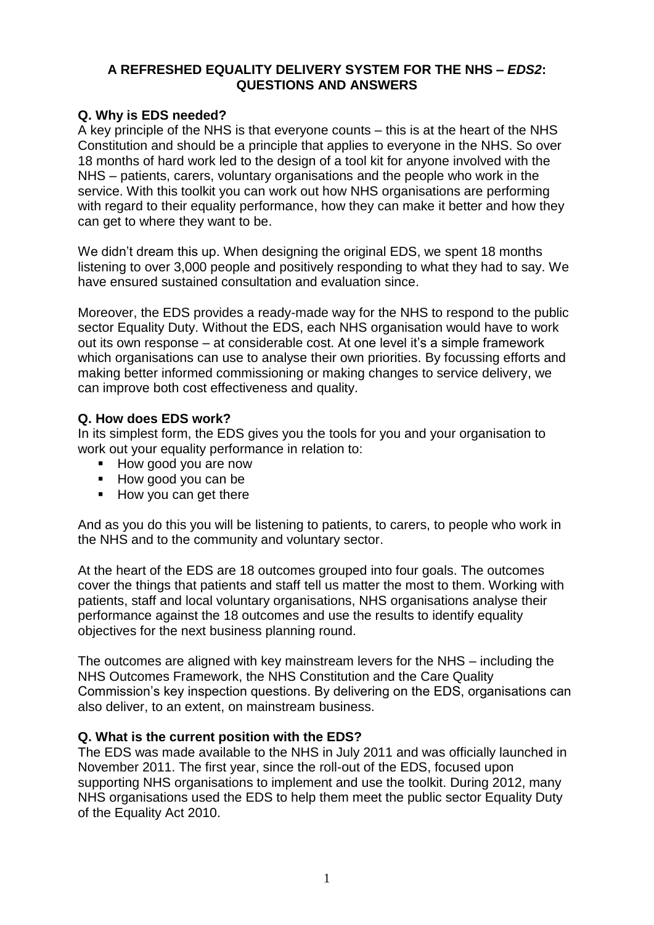### **A REFRESHED EQUALITY DELIVERY SYSTEM FOR THE NHS –** *EDS2***: QUESTIONS AND ANSWERS**

# **Q. Why is EDS needed?**

A key principle of the NHS is that everyone counts – this is at the heart of the NHS Constitution and should be a principle that applies to everyone in the NHS. So over 18 months of hard work led to the design of a tool kit for anyone involved with the NHS – patients, carers, voluntary organisations and the people who work in the service. With this toolkit you can work out how NHS organisations are performing with regard to their equality performance, how they can make it better and how they can get to where they want to be.

We didn't dream this up. When designing the original EDS, we spent 18 months listening to over 3,000 people and positively responding to what they had to say. We have ensured sustained consultation and evaluation since.

Moreover, the EDS provides a ready-made way for the NHS to respond to the public sector Equality Duty. Without the EDS, each NHS organisation would have to work out its own response – at considerable cost. At one level it's a simple framework which organisations can use to analyse their own priorities. By focussing efforts and making better informed commissioning or making changes to service delivery, we can improve both cost effectiveness and quality.

### **Q. How does EDS work?**

In its simplest form, the EDS gives you the tools for you and your organisation to work out your equality performance in relation to:

- **How good you are now**
- How good you can be
- How you can get there

And as you do this you will be listening to patients, to carers, to people who work in the NHS and to the community and voluntary sector.

At the heart of the EDS are 18 outcomes grouped into four goals. The outcomes cover the things that patients and staff tell us matter the most to them. Working with patients, staff and local voluntary organisations, NHS organisations analyse their performance against the 18 outcomes and use the results to identify equality objectives for the next business planning round.

The outcomes are aligned with key mainstream levers for the NHS – including the NHS Outcomes Framework, the NHS Constitution and the Care Quality Commission's key inspection questions. By delivering on the EDS, organisations can also deliver, to an extent, on mainstream business.

### **Q. What is the current position with the EDS?**

The EDS was made available to the NHS in July 2011 and was officially launched in November 2011. The first year, since the roll-out of the EDS, focused upon supporting NHS organisations to implement and use the toolkit. During 2012, many NHS organisations used the EDS to help them meet the public sector Equality Duty of the Equality Act 2010.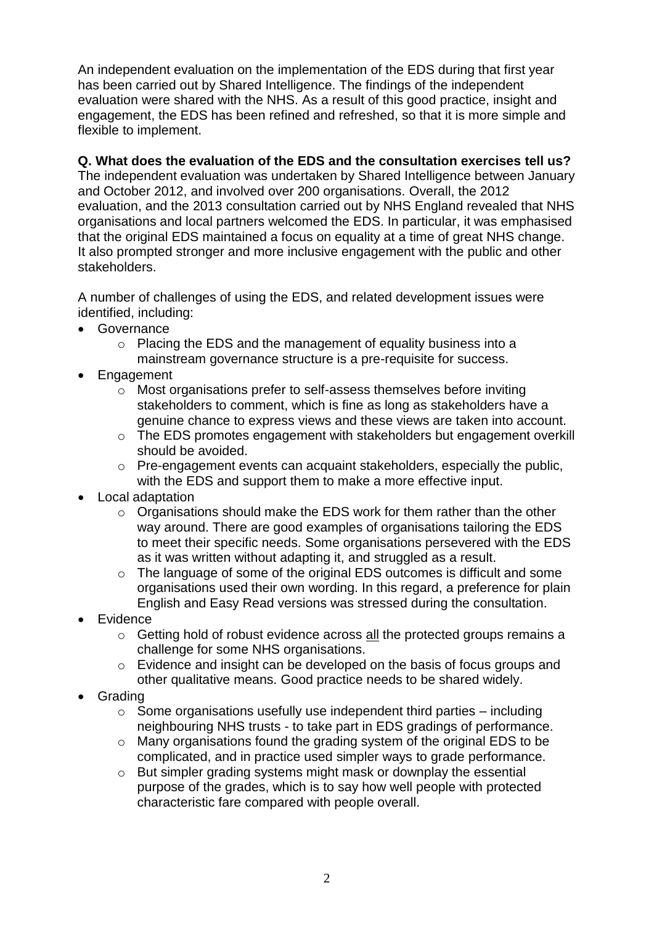An independent evaluation on the implementation of the EDS during that first year has been carried out by Shared Intelligence. The findings of the independent evaluation were shared with the NHS. As a result of this good practice, insight and engagement, the EDS has been refined and refreshed, so that it is more simple and flexible to implement.

### **Q. What does the evaluation of the EDS and the consultation exercises tell us?**

The independent evaluation was undertaken by Shared Intelligence between January and October 2012, and involved over 200 organisations. Overall, the 2012 evaluation, and the 2013 consultation carried out by NHS England revealed that NHS organisations and local partners welcomed the EDS. In particular, it was emphasised that the original EDS maintained a focus on equality at a time of great NHS change. It also prompted stronger and more inclusive engagement with the public and other stakeholders.

A number of challenges of using the EDS, and related development issues were identified, including:

- Governance
	- o Placing the EDS and the management of equality business into a mainstream governance structure is a pre-requisite for success.
- Engagement
	- o Most organisations prefer to self-assess themselves before inviting stakeholders to comment, which is fine as long as stakeholders have a genuine chance to express views and these views are taken into account.
	- o The EDS promotes engagement with stakeholders but engagement overkill should be avoided.
	- o Pre-engagement events can acquaint stakeholders, especially the public, with the EDS and support them to make a more effective input.
- Local adaptation
	- o Organisations should make the EDS work for them rather than the other way around. There are good examples of organisations tailoring the EDS to meet their specific needs. Some organisations persevered with the EDS as it was written without adapting it, and struggled as a result.
	- o The language of some of the original EDS outcomes is difficult and some organisations used their own wording. In this regard, a preference for plain English and Easy Read versions was stressed during the consultation.
- Evidence
	- o Getting hold of robust evidence across all the protected groups remains a challenge for some NHS organisations.
	- o Evidence and insight can be developed on the basis of focus groups and other qualitative means. Good practice needs to be shared widely.
- Grading
	- $\circ$  Some organisations usefully use independent third parties including neighbouring NHS trusts - to take part in EDS gradings of performance.
	- o Many organisations found the grading system of the original EDS to be complicated, and in practice used simpler ways to grade performance.
	- o But simpler grading systems might mask or downplay the essential purpose of the grades, which is to say how well people with protected characteristic fare compared with people overall.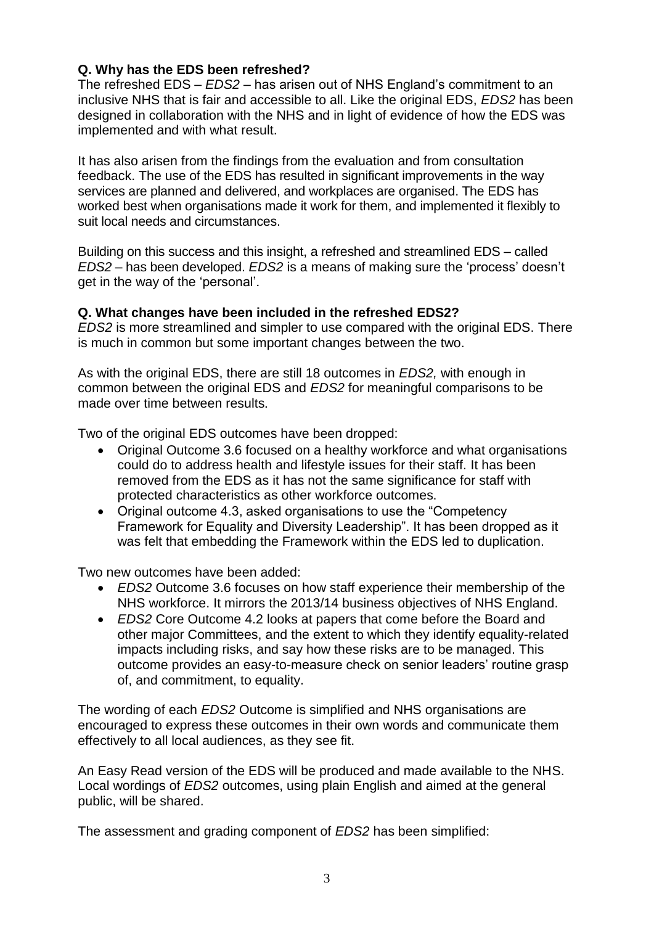### **Q. Why has the EDS been refreshed?**

The refreshed EDS – *EDS2* – has arisen out of NHS England's commitment to an inclusive NHS that is fair and accessible to all. Like the original EDS, *EDS2* has been designed in collaboration with the NHS and in light of evidence of how the EDS was implemented and with what result.

It has also arisen from the findings from the evaluation and from consultation feedback. The use of the EDS has resulted in significant improvements in the way services are planned and delivered, and workplaces are organised. The EDS has worked best when organisations made it work for them, and implemented it flexibly to suit local needs and circumstances.

Building on this success and this insight, a refreshed and streamlined EDS – called *EDS2* – has been developed. *EDS2* is a means of making sure the 'process' doesn't get in the way of the 'personal'.

#### **Q. What changes have been included in the refreshed EDS2?**

*EDS2* is more streamlined and simpler to use compared with the original EDS. There is much in common but some important changes between the two.

As with the original EDS, there are still 18 outcomes in *EDS2,* with enough in common between the original EDS and *EDS2* for meaningful comparisons to be made over time between results*.*

Two of the original EDS outcomes have been dropped:

- Original Outcome 3.6 focused on a healthy workforce and what organisations could do to address health and lifestyle issues for their staff. It has been removed from the EDS as it has not the same significance for staff with protected characteristics as other workforce outcomes.
- Original outcome 4.3, asked organisations to use the "Competency" Framework for Equality and Diversity Leadership". It has been dropped as it was felt that embedding the Framework within the EDS led to duplication.

Two new outcomes have been added:

- *EDS2* Outcome 3.6 focuses on how staff experience their membership of the NHS workforce. It mirrors the 2013/14 business objectives of NHS England.
- *EDS2* Core Outcome 4.2 looks at papers that come before the Board and other major Committees, and the extent to which they identify equality-related impacts including risks, and say how these risks are to be managed. This outcome provides an easy-to-measure check on senior leaders' routine grasp of, and commitment, to equality.

The wording of each *EDS2* Outcome is simplified and NHS organisations are encouraged to express these outcomes in their own words and communicate them effectively to all local audiences, as they see fit.

An Easy Read version of the EDS will be produced and made available to the NHS. Local wordings of *EDS2* outcomes, using plain English and aimed at the general public, will be shared.

The assessment and grading component of *EDS2* has been simplified: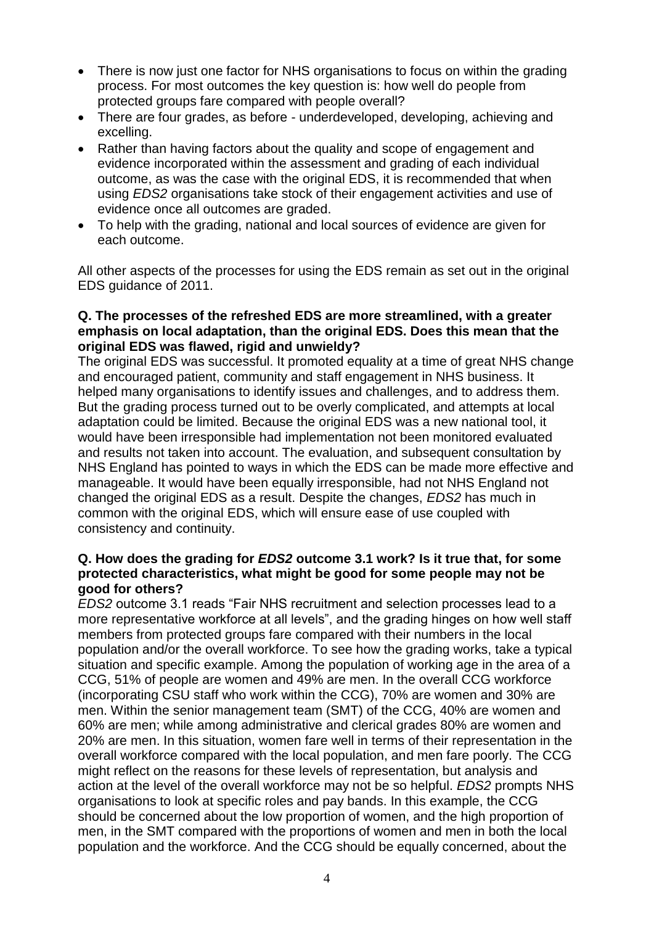- There is now just one factor for NHS organisations to focus on within the grading process. For most outcomes the key question is: how well do people from protected groups fare compared with people overall?
- There are four grades, as before underdeveloped, developing, achieving and excelling.
- Rather than having factors about the quality and scope of engagement and evidence incorporated within the assessment and grading of each individual outcome, as was the case with the original EDS, it is recommended that when using *EDS2* organisations take stock of their engagement activities and use of evidence once all outcomes are graded.
- To help with the grading, national and local sources of evidence are given for each outcome.

All other aspects of the processes for using the EDS remain as set out in the original EDS guidance of 2011.

#### **Q. The processes of the refreshed EDS are more streamlined, with a greater emphasis on local adaptation, than the original EDS. Does this mean that the original EDS was flawed, rigid and unwieldy?**

The original EDS was successful. It promoted equality at a time of great NHS change and encouraged patient, community and staff engagement in NHS business. It helped many organisations to identify issues and challenges, and to address them. But the grading process turned out to be overly complicated, and attempts at local adaptation could be limited. Because the original EDS was a new national tool, it would have been irresponsible had implementation not been monitored evaluated and results not taken into account. The evaluation, and subsequent consultation by NHS England has pointed to ways in which the EDS can be made more effective and manageable. It would have been equally irresponsible, had not NHS England not changed the original EDS as a result. Despite the changes, *EDS2* has much in common with the original EDS, which will ensure ease of use coupled with consistency and continuity.

#### **Q. How does the grading for** *EDS2* **outcome 3.1 work? Is it true that, for some protected characteristics, what might be good for some people may not be good for others?**

*EDS2* outcome 3.1 reads "Fair NHS recruitment and selection processes lead to a more representative workforce at all levels", and the grading hinges on how well staff members from protected groups fare compared with their numbers in the local population and/or the overall workforce. To see how the grading works, take a typical situation and specific example. Among the population of working age in the area of a CCG, 51% of people are women and 49% are men. In the overall CCG workforce (incorporating CSU staff who work within the CCG), 70% are women and 30% are men. Within the senior management team (SMT) of the CCG, 40% are women and 60% are men; while among administrative and clerical grades 80% are women and 20% are men. In this situation, women fare well in terms of their representation in the overall workforce compared with the local population, and men fare poorly. The CCG might reflect on the reasons for these levels of representation, but analysis and action at the level of the overall workforce may not be so helpful. *EDS2* prompts NHS organisations to look at specific roles and pay bands. In this example, the CCG should be concerned about the low proportion of women, and the high proportion of men, in the SMT compared with the proportions of women and men in both the local population and the workforce. And the CCG should be equally concerned, about the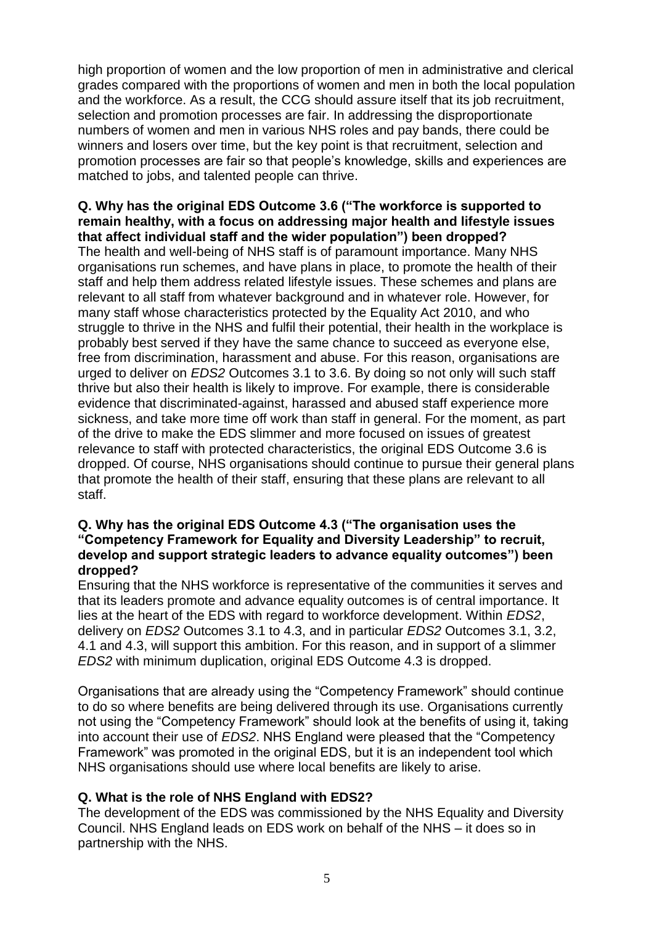high proportion of women and the low proportion of men in administrative and clerical grades compared with the proportions of women and men in both the local population and the workforce. As a result, the CCG should assure itself that its job recruitment, selection and promotion processes are fair. In addressing the disproportionate numbers of women and men in various NHS roles and pay bands, there could be winners and losers over time, but the key point is that recruitment, selection and promotion processes are fair so that people's knowledge, skills and experiences are matched to jobs, and talented people can thrive.

#### **Q. Why has the original EDS Outcome 3.6 ("The workforce is supported to remain healthy, with a focus on addressing major health and lifestyle issues that affect individual staff and the wider population") been dropped?**

The health and well-being of NHS staff is of paramount importance. Many NHS organisations run schemes, and have plans in place, to promote the health of their staff and help them address related lifestyle issues. These schemes and plans are relevant to all staff from whatever background and in whatever role. However, for many staff whose characteristics protected by the Equality Act 2010, and who struggle to thrive in the NHS and fulfil their potential, their health in the workplace is probably best served if they have the same chance to succeed as everyone else, free from discrimination, harassment and abuse. For this reason, organisations are urged to deliver on *EDS2* Outcomes 3.1 to 3.6. By doing so not only will such staff thrive but also their health is likely to improve. For example, there is considerable evidence that discriminated-against, harassed and abused staff experience more sickness, and take more time off work than staff in general. For the moment, as part of the drive to make the EDS slimmer and more focused on issues of greatest relevance to staff with protected characteristics, the original EDS Outcome 3.6 is dropped. Of course, NHS organisations should continue to pursue their general plans that promote the health of their staff, ensuring that these plans are relevant to all staff.

#### **Q. Why has the original EDS Outcome 4.3 ("The organisation uses the "Competency Framework for Equality and Diversity Leadership" to recruit, develop and support strategic leaders to advance equality outcomes") been dropped?**

Ensuring that the NHS workforce is representative of the communities it serves and that its leaders promote and advance equality outcomes is of central importance. It lies at the heart of the EDS with regard to workforce development. Within *EDS2*, delivery on *EDS2* Outcomes 3.1 to 4.3, and in particular *EDS2* Outcomes 3.1, 3.2, 4.1 and 4.3, will support this ambition. For this reason, and in support of a slimmer *EDS2* with minimum duplication, original EDS Outcome 4.3 is dropped.

Organisations that are already using the "Competency Framework" should continue to do so where benefits are being delivered through its use. Organisations currently not using the "Competency Framework" should look at the benefits of using it, taking into account their use of *EDS2*. NHS England were pleased that the "Competency Framework" was promoted in the original EDS, but it is an independent tool which NHS organisations should use where local benefits are likely to arise.

### **Q. What is the role of NHS England with EDS2?**

The development of the EDS was commissioned by the NHS Equality and Diversity Council. NHS England leads on EDS work on behalf of the NHS – it does so in partnership with the NHS.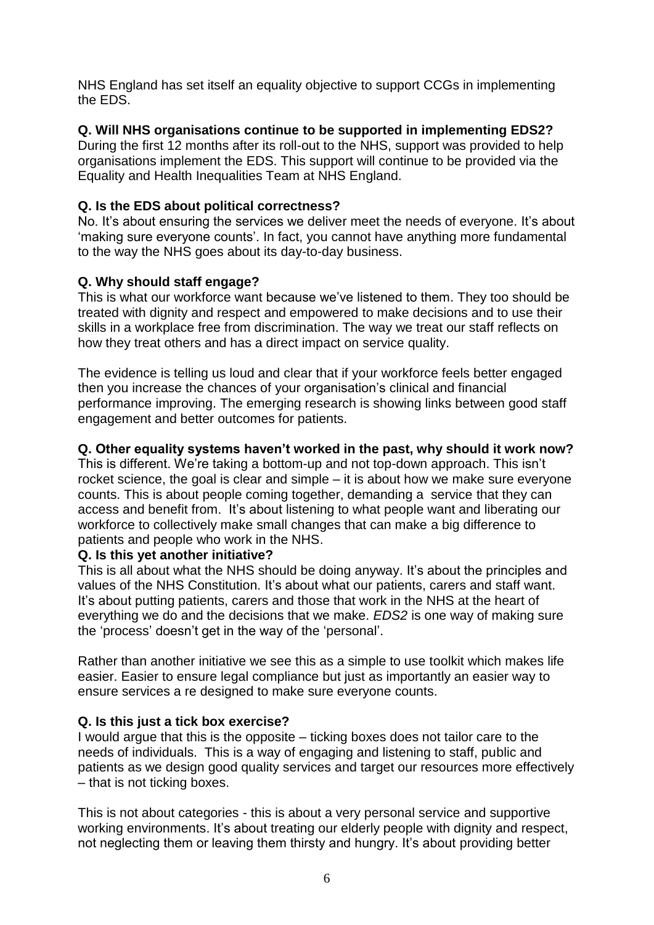NHS England has set itself an equality objective to support CCGs in implementing the EDS.

### **Q. Will NHS organisations continue to be supported in implementing EDS2?**

During the first 12 months after its roll-out to the NHS, support was provided to help organisations implement the EDS. This support will continue to be provided via the Equality and Health Inequalities Team at NHS England.

### **Q. Is the EDS about political correctness?**

No. It's about ensuring the services we deliver meet the needs of everyone. It's about 'making sure everyone counts'. In fact, you cannot have anything more fundamental to the way the NHS goes about its day-to-day business.

### **Q. Why should staff engage?**

This is what our workforce want because we've listened to them. They too should be treated with dignity and respect and empowered to make decisions and to use their skills in a workplace free from discrimination. The way we treat our staff reflects on how they treat others and has a direct impact on service quality.

The evidence is telling us loud and clear that if your workforce feels better engaged then you increase the chances of your organisation's clinical and financial performance improving. The emerging research is showing links between good staff engagement and better outcomes for patients.

#### **Q. Other equality systems haven't worked in the past, why should it work now?**

This is different. We're taking a bottom-up and not top-down approach. This isn't rocket science, the goal is clear and simple – it is about how we make sure everyone counts. This is about people coming together, demanding a service that they can access and benefit from. It's about listening to what people want and liberating our workforce to collectively make small changes that can make a big difference to patients and people who work in the NHS.

#### **Q. Is this yet another initiative?**

This is all about what the NHS should be doing anyway. It's about the principles and values of the NHS Constitution. It's about what our patients, carers and staff want. It's about putting patients, carers and those that work in the NHS at the heart of everything we do and the decisions that we make. *EDS2* is one way of making sure the 'process' doesn't get in the way of the 'personal'.

Rather than another initiative we see this as a simple to use toolkit which makes life easier. Easier to ensure legal compliance but just as importantly an easier way to ensure services a re designed to make sure everyone counts.

#### **Q. Is this just a tick box exercise?**

I would argue that this is the opposite – ticking boxes does not tailor care to the needs of individuals. This is a way of engaging and listening to staff, public and patients as we design good quality services and target our resources more effectively – that is not ticking boxes.

This is not about categories - this is about a very personal service and supportive working environments. It's about treating our elderly people with dignity and respect, not neglecting them or leaving them thirsty and hungry. It's about providing better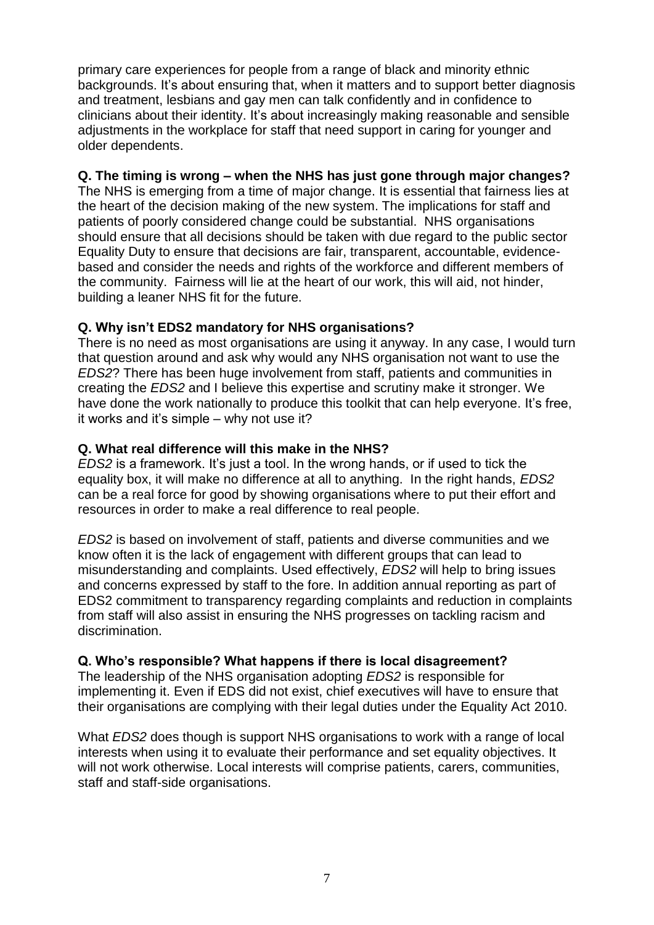primary care experiences for people from a range of black and minority ethnic backgrounds. It's about ensuring that, when it matters and to support better diagnosis and treatment, lesbians and gay men can talk confidently and in confidence to clinicians about their identity. It's about increasingly making reasonable and sensible adjustments in the workplace for staff that need support in caring for younger and older dependents.

# **Q. The timing is wrong – when the NHS has just gone through major changes?**

The NHS is emerging from a time of major change. It is essential that fairness lies at the heart of the decision making of the new system. The implications for staff and patients of poorly considered change could be substantial. NHS organisations should ensure that all decisions should be taken with due regard to the public sector Equality Duty to ensure that decisions are fair, transparent, accountable, evidencebased and consider the needs and rights of the workforce and different members of the community. Fairness will lie at the heart of our work, this will aid, not hinder, building a leaner NHS fit for the future.

# **Q. Why isn't EDS2 mandatory for NHS organisations?**

There is no need as most organisations are using it anyway. In any case, I would turn that question around and ask why would any NHS organisation not want to use the *EDS2*? There has been huge involvement from staff, patients and communities in creating the *EDS2* and I believe this expertise and scrutiny make it stronger. We have done the work nationally to produce this toolkit that can help everyone. It's free, it works and it's simple – why not use it?

# **Q. What real difference will this make in the NHS?**

*EDS2* is a framework. It's just a tool. In the wrong hands, or if used to tick the equality box, it will make no difference at all to anything. In the right hands, *EDS2*  can be a real force for good by showing organisations where to put their effort and resources in order to make a real difference to real people.

*EDS2* is based on involvement of staff, patients and diverse communities and we know often it is the lack of engagement with different groups that can lead to misunderstanding and complaints. Used effectively, *EDS2* will help to bring issues and concerns expressed by staff to the fore. In addition annual reporting as part of EDS2 commitment to transparency regarding complaints and reduction in complaints from staff will also assist in ensuring the NHS progresses on tackling racism and discrimination.

### **Q. Who's responsible? What happens if there is local disagreement?**

The leadership of the NHS organisation adopting *EDS2* is responsible for implementing it. Even if EDS did not exist, chief executives will have to ensure that their organisations are complying with their legal duties under the Equality Act 2010.

What *EDS2* does though is support NHS organisations to work with a range of local interests when using it to evaluate their performance and set equality objectives. It will not work otherwise. Local interests will comprise patients, carers, communities, staff and staff-side organisations.